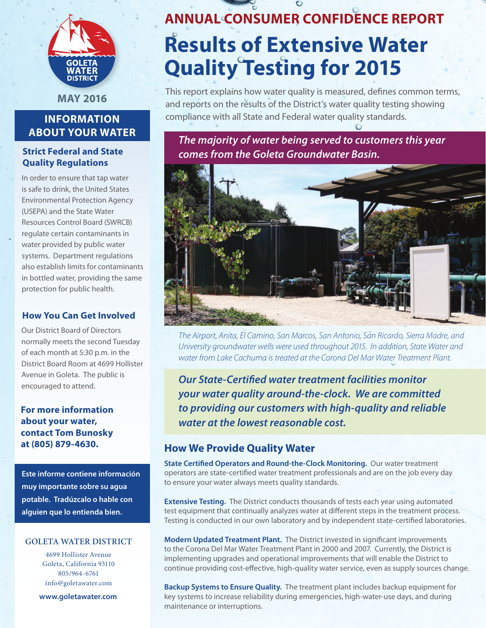

**May 2016**

# **Information About Your Water**

## **Strict Federal and State Quality Regulations**

In order to ensure that tap water is safe to drink, the United States Environmental Protection Agency (USEPA) and the State Water Resources Control Board (SWRCB) regulate certain contaminants in water provided by public water systems. Department regulations also establish limits for contaminants in bottled water, providing the same protection for public health.

## **How You Can Get Involved**

Our District Board of Directors normally meets the second Tuesday of each month at 5:30 p.m. in the District Board Room at 4699 Hollister Avenue in Goleta. The public is encouraged to attend.

**For more information about your water, contact Tom Bunosky at (805) 879-4630.**

**Este informe contiene información muy importante sobre su agua potable. Tradúzcalo o hable con alguien que lo entienda bien.**

## **Goleta water district**

4699 Hollister Avenue Goleta, California 93110 805/964-6761 info@goletawater.com

**www.goletawater.com**

# **ANNUAL Consumer Confidence Report Results of Extensive Water Quality Testing for 2015**

This report explains how water quality is measured, defines common terms, and reports on the results of the District's water quality testing showing compliance with all State and Federal water quality standards.

*The majority of water being served to customers this year comes from the Goleta Groundwater Basin.* 



*The Airport, Anita, El Camino, San Marcos, San Antonio, San Ricardo, Sierra Madre, and University groundwater wells were used throughout 2015. In addition, State Water and water from Lake Cachuma is treated at the Corona Del Mar Water Treatment Plant.* 

*Our State-Certified water treatment facilities monitor your water quality around-the-clock. We are committed to providing our customers with high-quality and reliable water at the lowest reasonable cost.*

## **How We Provide Quality Water**

**State Certified Operators and Round-the-Clock Monitoring.** Our water treatment operators are state-certified water treatment professionals and are on the job every day to ensure your water always meets quality standards.

**Extensive Testing.** The District conducts thousands of tests each year using automated test equipment that continually analyzes water at different steps in the treatment process. Testing is conducted in our own laboratory and by independent state-certified laboratories.

**Modern Updated Treatment Plant.** The District invested in significant improvements to the Corona Del Mar Water Treatment Plant in 2000 and 2007. Currently, the District is implementing upgrades and operational improvements that will enable the District to continue providing cost-effective, high-quality water service, even as supply sources change.

**Backup Systems to Ensure Quality.** The treatment plant includes backup equipment for key systems to increase reliability during emergencies, high-water-use days, and during maintenance or interruptions.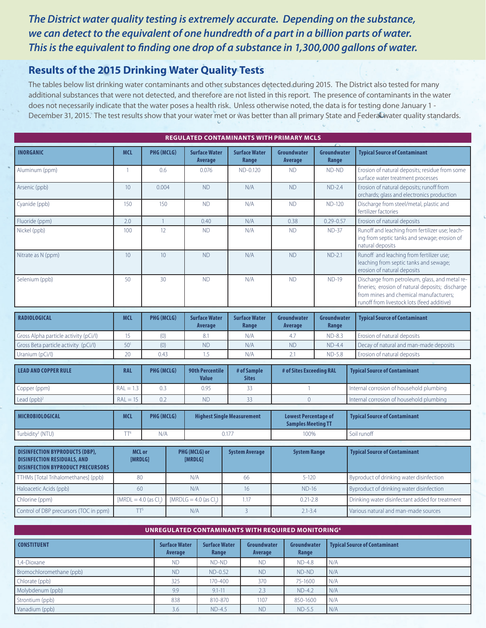# *The District water quality testing is extremely accurate. Depending on the substance, we can detect to the equivalent of one hundredth of a part in a billion parts of water. This is the equivalent to finding one drop of a substance in 1,300,000 gallons of water.*

# **Results of the 2015 Drinking Water Quality Tests**

The tables below list drinking water contaminants and other substances detected during 2015. The District also tested for many additional substances that were not detected, and therefore are not listed in this report. The presence of contaminants in the water does not necessarily indicate that the water poses a health risk. Unless otherwise noted, the data is for testing done January 1 - December 31, 2015. The test results show that your water met or was better than all primary State and Federal water quality standards.

| <b>REGULATED CONTAMINANTS WITH PRIMARY MCLS</b>                                                                         |                          |                          |                                                      |                                                   |                               |                                                          |                      |                                                                                                                                                                                            |  |
|-------------------------------------------------------------------------------------------------------------------------|--------------------------|--------------------------|------------------------------------------------------|---------------------------------------------------|-------------------------------|----------------------------------------------------------|----------------------|--------------------------------------------------------------------------------------------------------------------------------------------------------------------------------------------|--|
| <b>INORGANIC</b>                                                                                                        | <b>MCL</b>               | PHG (MCLG)               |                                                      | <b>Surface Water</b><br>Average                   | <b>Surface Water</b><br>Range | Groundwater<br><b>Average</b>                            | Groundwater<br>Range | <b>Typical Source of Contaminant</b>                                                                                                                                                       |  |
| Aluminum (ppm)                                                                                                          | $\overline{1}$           | 0.6                      |                                                      | 0.076                                             | ND-0.120                      | <b>ND</b>                                                | ND-ND                | Erosion of natural deposits; residue from some<br>surface water treatment processes                                                                                                        |  |
| Arsenic (ppb)                                                                                                           | 10 <sup>°</sup>          | 0.004                    |                                                      | <b>ND</b>                                         | N/A                           | <b>ND</b>                                                | $ND-2.4$             | Erosion of natural deposits; runoff from<br>orchards; glass and electronics production                                                                                                     |  |
| Cyanide (ppb)                                                                                                           | 150                      | 150                      |                                                      | <b>ND</b>                                         | N/A                           | <b>ND</b>                                                | <b>ND-120</b>        | Discharge from steel/metal, plastic and<br>fertilizer factories                                                                                                                            |  |
| Fluoride (ppm)                                                                                                          | 2.0                      | $\overline{1}$           |                                                      | 0.40                                              | N/A                           | 0.38                                                     | $0.29 - 0.57$        | Erosion of natural deposits                                                                                                                                                                |  |
| Nickel (ppb)                                                                                                            | 100                      | 12                       |                                                      | <b>ND</b>                                         | N/A                           | <b>ND</b>                                                | $ND-37$              | Runoff and leaching from fertilizer use; leach-<br>ing from septic tanks and sewage; erosion of<br>natural deposits                                                                        |  |
| Nitrate as N (ppm)                                                                                                      | 10                       | 10                       |                                                      | <b>ND</b>                                         | N/A                           | <b>ND</b>                                                | $ND-2.1$             | Runoff and leaching from fertilizer use;<br>leaching from septic tanks and sewage;<br>erosion of natural deposits                                                                          |  |
| Selenium (ppb)                                                                                                          | 50                       | 30                       |                                                      | <b>ND</b>                                         | N/A                           | <b>ND</b>                                                | <b>ND-19</b>         | Discharge from petroleum, glass, and metal re-<br>fineries; erosion of natural deposits; discharge<br>from mines and chemical manufacturers;<br>runoff from livestock lots (feed additive) |  |
| <b>RADIOLOGICAL</b>                                                                                                     | <b>MCL</b><br>PHG (MCLG) |                          |                                                      | <b>Surface Water</b>                              | <b>Surface Water</b>          | Groundwater                                              | Groundwater          | <b>Typical Source of Contaminant</b>                                                                                                                                                       |  |
|                                                                                                                         |                          |                          |                                                      | Average                                           | Range                         | Average                                                  | Range                |                                                                                                                                                                                            |  |
| Gross Alpha particle activity (pCi/l)                                                                                   | 15                       | (0)                      |                                                      | 8.1                                               | N/A                           | 4.7                                                      | $ND-8.3$             | Erosion of natural deposits                                                                                                                                                                |  |
| Gross Beta particle activity (pCi/l)                                                                                    | 50 <sup>1</sup>          | (0)                      |                                                      | <b>ND</b>                                         | N/A                           | <b>ND</b>                                                | $ND-4.4$             | Decay of natural and man-made deposits                                                                                                                                                     |  |
| Uranium (pCi/l)                                                                                                         | 20                       | 0.43                     |                                                      | 1.5                                               | N/A                           | 2.1                                                      | $ND-5.8$             | Erosion of natural deposits                                                                                                                                                                |  |
| <b>LEAD AND COPPER RULE</b>                                                                                             | <b>RAL</b>               |                          | PHG (MCLG)<br><b>90th Percentile</b><br><b>Value</b> |                                                   | # of Sample<br><b>Sites</b>   | # of Sites Exceeding RAL                                 |                      | <b>Typical Source of Contaminant</b>                                                                                                                                                       |  |
| Copper (ppm)                                                                                                            | $RAL = 1.3$              | 0.3                      |                                                      | 0.95                                              | 33                            | $\mathbf{1}$                                             |                      | Internal corrosion of household plumbing                                                                                                                                                   |  |
| Lead $(ppb)^2$                                                                                                          | $RAL = 15$               | 0.2                      |                                                      | 33<br><b>ND</b>                                   |                               | $\overline{0}$                                           |                      | Internal corrosion of household plumbing                                                                                                                                                   |  |
| <b>MICROBIOLOGICAL</b>                                                                                                  | <b>MCL</b>               | PHG (MCLG)               |                                                      | <b>Highest Single Measurement</b>                 |                               | <b>Lowest Percentage of</b><br><b>Samples Meeting TT</b> |                      | <b>Typical Source of Contaminant</b>                                                                                                                                                       |  |
| Turbidity <sup>3</sup> (NTU)                                                                                            | TT <sup>4</sup>          | N/A                      |                                                      | 0.177                                             |                               | 100%                                                     |                      | Soil runoff                                                                                                                                                                                |  |
| <b>DISINFECTION BYPRODUCTS (DBP),</b><br><b>DISINFECTION RESIDUALS, AND</b><br><b>DISINFECTION BYPRODUCT PRECURSORS</b> |                          | <b>MCL or</b><br>[MRDLG] |                                                      | PHG (MCLG) or<br><b>System Average</b><br>[MRDLG] |                               | <b>System Range</b>                                      |                      | <b>Typical Source of Contaminant</b>                                                                                                                                                       |  |
| TTHMs [Total Trihalomethanes] (ppb)                                                                                     |                          | 80                       |                                                      | N/A                                               | 66                            | $5 - 120$                                                |                      | Byproduct of drinking water disinfection                                                                                                                                                   |  |
| Haloacetic Acids (ppb)                                                                                                  |                          | 60                       |                                                      | N/A                                               | 16                            | <b>ND-16</b>                                             |                      | Byproduct of drinking water disinfection                                                                                                                                                   |  |
| Chlorine (ppm)                                                                                                          |                          | $[MRDL = 4.0$ (as CL)    |                                                      | [MRDLG = $4.0$ (as Cl.)                           | 1.17                          | $0.21 - 2.8$                                             |                      | Drinking water disinfectant added for treatment                                                                                                                                            |  |
| Control of DBP precursors (TOC in ppm)                                                                                  |                          | TT <sup>5</sup>          |                                                      | N/A                                               | $\overline{3}$                | $2.1 - 3.4$                                              |                      | Various natural and man-made sources                                                                                                                                                       |  |
|                                                                                                                         |                          |                          |                                                      |                                                   |                               |                                                          |                      |                                                                                                                                                                                            |  |

| <b>DINNEGOLATED CONTAMINANTS WITH REQUIRED MONTIONING</b> |                                 |                               |                        |                      |                                      |  |  |
|-----------------------------------------------------------|---------------------------------|-------------------------------|------------------------|----------------------|--------------------------------------|--|--|
| <b>CONSTITUENT</b>                                        | <b>Surface Water</b><br>Average | <b>Surface Water</b><br>Range | Groundwater<br>Average | Groundwater<br>Range | <b>Typical Source of Contaminant</b> |  |  |
| 1.4-Dioxane                                               | <b>ND</b>                       | ND-ND                         | <b>ND</b>              | <b>ND-4.8</b>        | N/A                                  |  |  |
| Bromochloromethane (ppb)                                  | <b>ND</b>                       | $ND-0.52$                     | <b>ND</b>              | ND-ND                | N/A                                  |  |  |
| Chlorate (ppb)                                            | 325                             | 170-400                       | 370                    | 75-1600              | N/A                                  |  |  |
| Molybdenum (ppb)                                          | 9.9                             | $9.1 - 11$                    | 2.3                    | $ND-4.2$             | N/A                                  |  |  |
| Strontium (ppb)                                           | 838                             | 810-870                       | 1107                   | 850-1600             | N/A                                  |  |  |
| Vanadium (ppb)                                            | 3.6                             | $ND-4.5$                      | <b>ND</b>              | ND-5.5               | N/A                                  |  |  |

**UNRegulated Contaminants with REQUIRED MONITORING6**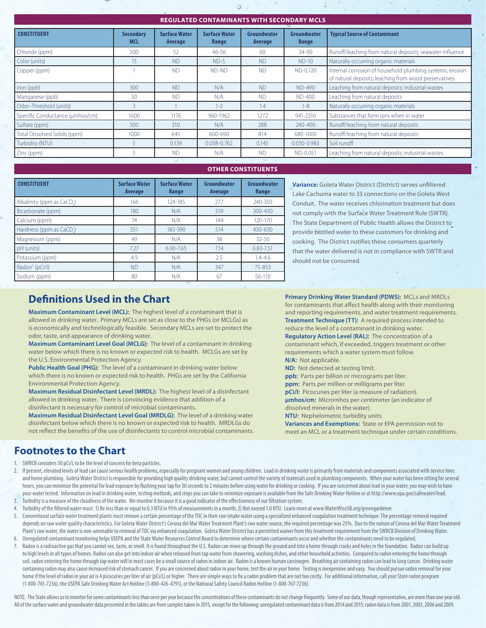#### **Regulated Contaminants with Secondary MCLS**

| REGULATED CONTAMINANTS WITH SECONDANT MICLS |                                |                                 |                               |                        |                      |                                                                                                                    |  |  |
|---------------------------------------------|--------------------------------|---------------------------------|-------------------------------|------------------------|----------------------|--------------------------------------------------------------------------------------------------------------------|--|--|
| <b>CONSTITUENT</b>                          | <b>Secondary</b><br><b>MCL</b> | <b>Surface Water</b><br>Average | <b>Surface Water</b><br>Range | Groundwater<br>Average | Groundwater<br>Range | <b>Typical Source of Contaminant</b>                                                                               |  |  |
| Chloride (ppm)                              | 500                            | 52                              | $46 - 56$                     | 60                     | 34-90                | Runoff/leaching from natural deposits; seawater influence                                                          |  |  |
| Color (units)                               | 15 <sup>°</sup>                | <b>ND</b>                       | $ND-5$                        | <b>ND</b>              | $ND-10$              | Naturally occurring organic materials                                                                              |  |  |
| Copper (ppm)                                |                                | <b>ND</b>                       | ND-ND                         | <b>ND</b>              | ND-0.120             | Internal corrosion of household plumbing systems; erosion<br>of natural deposits; leaching from wood preservatives |  |  |
| Iron (ppb)                                  | 300                            | <b>ND</b>                       | N/A                           | <b>ND</b>              | ND-490               | Leaching from natural deposits; industrial wastes                                                                  |  |  |
| Manganese (ppb)                             | 50                             | <b>ND</b>                       | N/A                           | <b>ND</b>              | <b>ND-400</b>        | Leaching from natural deposits                                                                                     |  |  |
| Odor-Threshold (units)                      |                                |                                 | $1 - 2$                       | 1.4                    | $1 - 8$              | Naturally occurring organic materials                                                                              |  |  |
| Specific Conductance (umhos/cm)             | 1600                           | 1176                            | 960-1962                      | 1272                   | 941-2310             | Substances that form ions when in water                                                                            |  |  |
| Sulfate (ppm)                               | 500                            | 310                             | N/A                           | 288                    | 240-400              | Runoff/leaching from natural deposits                                                                              |  |  |
| Total Dissolved Solids (ppm)                | 1000                           | 645                             | 600-690                       | 814                    | 680-1000             | Runoff/leaching from natural deposits                                                                              |  |  |
| Turbidity (NTU)                             |                                | 0.139                           | 0.038-0.762                   | 0.145                  | $0.030 - 0.983$      | Soil runoff                                                                                                        |  |  |
| Zinc (ppm)                                  |                                | <b>ND</b>                       | N/A                           | <b>ND</b>              | ND-0.051             | Leaching from natural deposits; industrial wastes                                                                  |  |  |
|                                             |                                |                                 |                               |                        |                      |                                                                                                                    |  |  |

#### **OTHER CONSTItUENTS**

| <b>CONSTITUENT</b>         | <b>Surface Water</b><br><b>Average</b> | <b>Surface Water</b><br>Range | Groundwater<br><b>Average</b> | Groundwater<br>Range |
|----------------------------|----------------------------------------|-------------------------------|-------------------------------|----------------------|
| Alkalinity (ppm as CaCO.)  | 166                                    | 124-185                       | 277                           | 240-350              |
| Bicarbonate (ppm)          | 180                                    | N/A                           | 339                           | $300 - 430$          |
| Calcium (ppm)              | 74                                     | N/A                           | 144                           | 120-170              |
| Hardness (ppm as CaCO.)    | 351                                    | 183-390                       | 514                           | 430-630              |
| Magnesium (ppm)            | 49                                     | N/A                           | 38                            | $32 - 50$            |
| pH (units)                 | 7.27                                   | 6.90-7.65                     | 7.14                          | $6.83 - 7.51$        |
| Potassium (ppm)            | 4.9                                    | N/A                           | 2.5                           | $1.4 - 4.6$          |
| Radon <sup>7</sup> (pCi/l) | <b>ND</b>                              | N/A                           | 347                           | 75-853               |
| Sodium (ppm)               | 80                                     | N/A                           | 67                            | $56 - 110$           |

**Variance:** Goleta Water District (District) serves unfiltered Lake Cachuma water to 33 connections on the Goleta West Conduit. The water receives chlorination treatment but does not comply with the Surface Water Treatment Rule (SWTR). The State Department of Public Health allows the District to provide bottled water to these customers for drinking and cooking. The District notifies these consumers quarterly that the water delivered is not in compliance with SWTR and should not be consumed.

# **Definitions Used in the Chart**

**Maximum Contaminant Level (MCL):** The highest level of a contaminant that is allowed in drinking water. Primary MCLs are set as close to the PHGs (or MCLGs) as is economically and technologically feasible. Secondary MCLs are set to protect the odor, taste, and appearance of drinking water.

**Maximum Contaminant Level Goal (MCLG):** The level of a contaminant in drinking water below which there is no known or expected risk to health. MCLGs are set by the U.S. Environmental Protection Agency.

**Public Health Goal (PHG):** The level of a contaminant in drinking water below which there is no known or expected risk to health. PHGs are set by the California Environmental Protection Agency.

**Maximum Residual Disinfectant Level (MRDL):** The highest level of a disinfectant allowed in drinking water. There is convincing evidence that addition of a disinfectant is necessary for control of microbial contaminants.

**Maximum Residual Disinfectant Level Goal (MRDLG):** The level of a drinking water disinfectant below which there is no known or expected risk to health. MRDLGs do not reflect the benefits of the use of disinfectants to control microbial contaminants. **Primary Drinking Water Standard (PDWS):** MCLs and MRDLs for contaminants that affect health along with their monitoring and reporting requirements, and water treatment requirements. **Treatment Technique (TT):** A required process intended to reduce the level of a contaminant in drinking water. **Regulatory Action Level (RAL):** The concentration of a contaminant which, if exceeded, triggers treatment or other requirements which a water system must follow. **N/A:** Not applicable.

**ND:** Not detected at testing limit.

**ppb:** Parts per billion or micrograms per liter.

**ppm:** Parts per million or milligrams per liter.

**pCi/l:** Picocuries per liter (a measure of radiation). **μmhos/cm:** Micromhos per centimeter (an indicator of dissolved minerals in the water).

**NTU:** Nephelometric turbidity units. **Variances and Exemptions:** State or EPA permission not to meet an MCL or a treatment technique under certain conditions.

## **Footnotes to the Chart**

- 1. SWRCB considers 50 pCi/L to be the level of concern for beta particles.
- 2. If present, elevated levels of lead can cause serious health problems, especially for pregnant women and young children. Lead in drinking water is primarily from materials and components associated with service lines and home plumbing. Goleta Water District is responsible for providing high quality drinking water, but cannot control the variety of materials used in plumbing components. When your water has been sitting for several hours, you can minimize the potential for lead exposure by flushing your tap for 30 seconds to 2 minutes before using water for drinking or cooking. If you are concerned about lead in your water, you may wish to have your water tested. Information on lead in drinking water, testing methods, and steps you can take to minimize exposure is available from the Safe Drinking Water Hotline or at http://www.epa.gov/safewater/lead. 3. Turbidity is a measure of the cloudiness of the water. We monitor it because it is a good indicator of the effectiveness of our filtration system.
- 4. Turbidity of the filtered water must: 1) Be less than or equal to 0.3 NTU in 95% of measurements in a month; 2) Not exceed 1.0 NTU. Learn more at www.WaterWiseSB.org/greengardener.
- 5. Conventional surface water treatment plants must remove a certain percentage of the TOC in their raw intake water using a specialized enhanced coagulation treatment technique. The percentage removal required depends on raw water quality characteristics. For Goleta Water District's Corona del Mar Water Treatment Plant's raw water source, the required percentage was 25%. Due to the nature of Corona del Mar Water Treatment Plant's raw water, the water is non-amenable to removal of TOC via enhanced coagulation. Goleta Water District has a permitted waiver from this treatment requirement from the SWRCB Division of Drinking Water. 6. Unregulated contaminant monitoring helps USEPA and the State Water Resources Control Board to determine where certain contaminants occur and whether the contaminants need to be regulated.
- 7. Radon is a radioactive gas that you cannot see, taste, or smell. It is found throughout the U.S. Radon can move up through the ground and into a home through cracks and holes in the foundation. Radon can build up
- to high levels in all types of homes. Radon can also get into indoor air when released from tap water from showering, washing dishes, and other household activities. Compared to radon entering the home through soil, radon entering the home through tap water will in most cases be a small source of radon in indoor air. Radon is a known human carcinogen. Breathing air containing radon can lead to lung cancer. Drinking water containing radon may also cause increased risk of stomach cancer. If you are concerned about radon in your home, test the air in your home. Testing is inexpensive and easy. You should pursue radon removal for your home if the level of radon in your air is 4 picocuries per liter of air (pCi/L) or higher. There are simple ways to fix a radon problem that are not too costly. For additional information, call your State radon program (1-800-745-7236), the USEPA Safe Drinking Water Act Hotline (1-800-426-4791), or the National Safety Council Radon Hotline (1-800-767-7236).

NOTE: The State allows us to monitor for some contaminants less than once per year because the concentrations of these contaminants do not change frequently. Some of our data, though representative, are more than one year All of the surface water and groundwater data presented in the tables are from samples taken in 2015, except for the following: unregulated contaminant data is from 2014 and 2015; radon data is from 2001, 2003, 2006 and 20